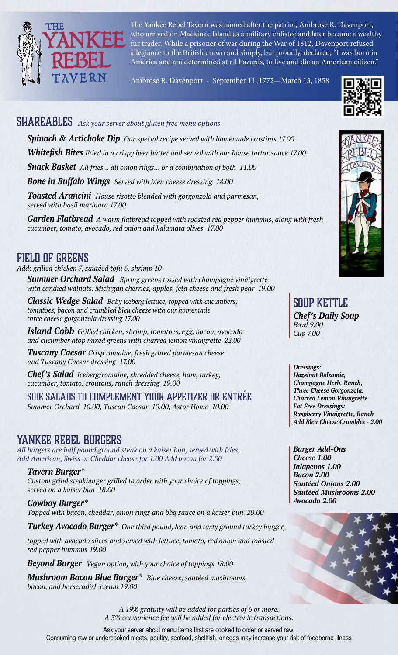

The Yankee Rebel Tavern was named after the patriot, Ambrose R. Davenport, who arrived on Mackinac Island as a military enlistee and later became a wealthy fur trader. While a prisoner of war during the War of 1812, Davenport refused allegiance to the British crown and simply, but proudly, declared, "I was born in America and am determined at all hazards, to live and die an American citizen."

Ambrose R. Davenport - September 11, 1772—March 13, 1858

# SHAREABLES *Ask your server about gluten free menu options*

*Spinach & Artichoke Dip Our special recipe served with homemade crostinis 17.00 Whitefish Bites Fried in a crispy beer batter and served with our house tartar sauce 17.00 Snack Basket All fries... all onion rings... or a combination of both 11.00*

*Bone in Buffalo Wings Served with bleu cheese dressing 18.00*

*Toasted Arancini House risotto blended with gorgonzola and parmesan, served with basil marinara 17.00*

*Garden Flatbread A warm flatbread topped with roasted red pepper hummus, along with fresh cucumber, tomato, avocado, red onion and kalamata olives 17.00*

### FIELD OF GREENS

*Add: grilled chicken 7, sautéed tofu 6, shrimp 10*

*Summer Orchard Salad Spring greens tossed with champagne vinaigrette with candied walnuts, Michigan cherries, apples, feta cheese and fresh pear 19.00* 

*Classic Wedge Salad Baby iceberg lettuce, topped with cucumbers, tomatoes, bacon and crumbled bleu cheese with our homemade three cheese gorgonzola dressing 17.00*

*Island Cobb Grilled chicken, shrimp, tomatoes, egg, bacon, avocado and cucumber atop mixed greens with charred lemon vinaigrette 22.00*

*Tuscany Caesar Crisp romaine, fresh grated parmesan cheese and Tuscany Caesar dressing 17.00*

*Chef's Salad Iceberg/romaine, shredded cheese, ham, turkey, cucumber, tomato, croutons, ranch dressing 19.00*

SIDE SALADS TO COMPLEMENT YOUR APPETIZER OR ENTRÉE *Summer Orchard 10.00, Tuscan Caesar 10.00, Astor Home 10.00*

# YANKEE REBEL BURGERS

*All burgers are half pound ground steak on a kaiser bun, served with fries. Add American, Swiss or Cheddar cheese for 1.00 Add bacon for 2.00*

*Tavern Burger\* Custom grind steakburger grilled to order with your choice of toppings, served on a kaiser bun 18.00*

*Cowboy Burger\* Topped with bacon, cheddar, onion rings and bbq sauce on a kaiser bun 20.00*

*Turkey Avocado Burger\* One third pound, lean and tasty ground turkey burger,* 

*topped with avocado slices and served with lettuce, tomato, red onion and roasted red pepper hummus 19.00*

*Beyond Burger Vegan option, with your choice of toppings 18.00*

*Mushroom Bacon Blue Burger\* Blue cheese, sautéed mushrooms, bacon, and horseradish cream 19.00*

SOUP KETTLE *Chef's Daily Soup Bowl 9.00 Cup 7.00*

*Dressings: Hazelnut Balsamic, Champagne Herb, Ranch, Three Cheese Gorgonzola, Charred Lemon Vinaigrette Fat Free Dressings: Raspberry Vinaigrette, Ranch Add Bleu Cheese Crumbles - 2.00*

*Burger Add-Ons Cheese 1.00 Jalapenos 1.00 Bacon 2.00 Sautéed Onions 2.00 Sautéed Mushrooms 2.00 Avocado 2.00*



*A 19% gratuity will be added for parties of 6 or more. A 3% convenience fee will be added for electronic transactions.*